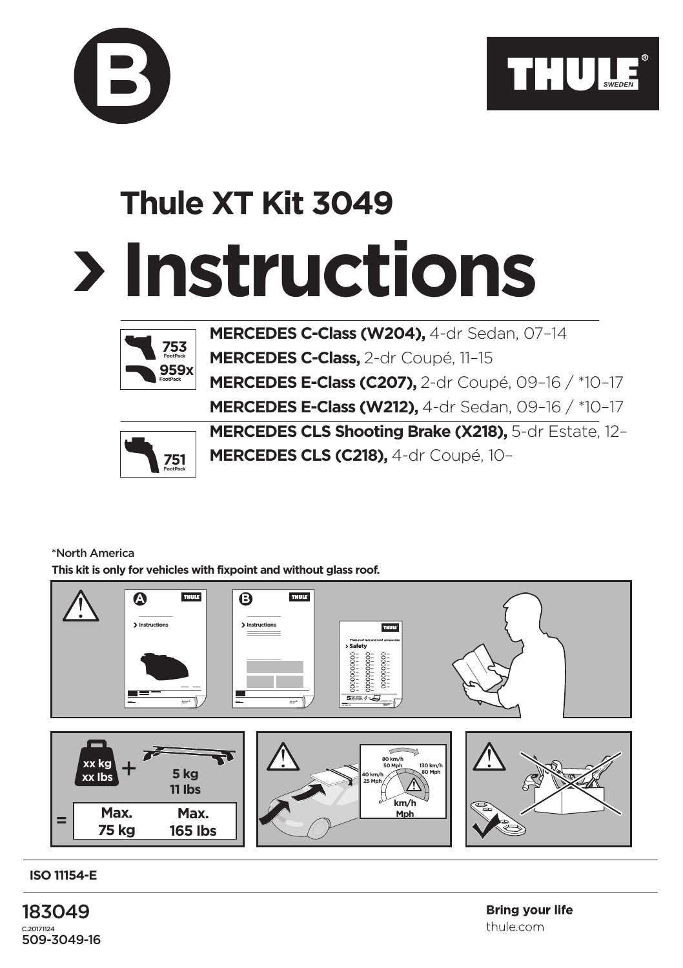

## **Instructions Thule XT Kit 3049**



**B**

**MERCEDES C-Class (W204),** 4-dr Sedan, 07–14 **MERCEDES C-Class,** 2-dr Coupé, 11–15 **MERCEDES E-Class (C207),** 2-dr Coupé, 09–16 / \*10–17 **MERCEDES E-Class (W212),** 4-dr Sedan, 09–16 / \*10–17



**MERCEDES CLS Shooting Brake (X218),** 5-dr Estate, 12– **MERCEDES CLS (C218),** 4-dr Coupé, 10–

## \*North America

**This kit is only for vehicles with fixpoint and without glass roof.**



**ISO 11154-E**

183049 C.20171124 509-3049-16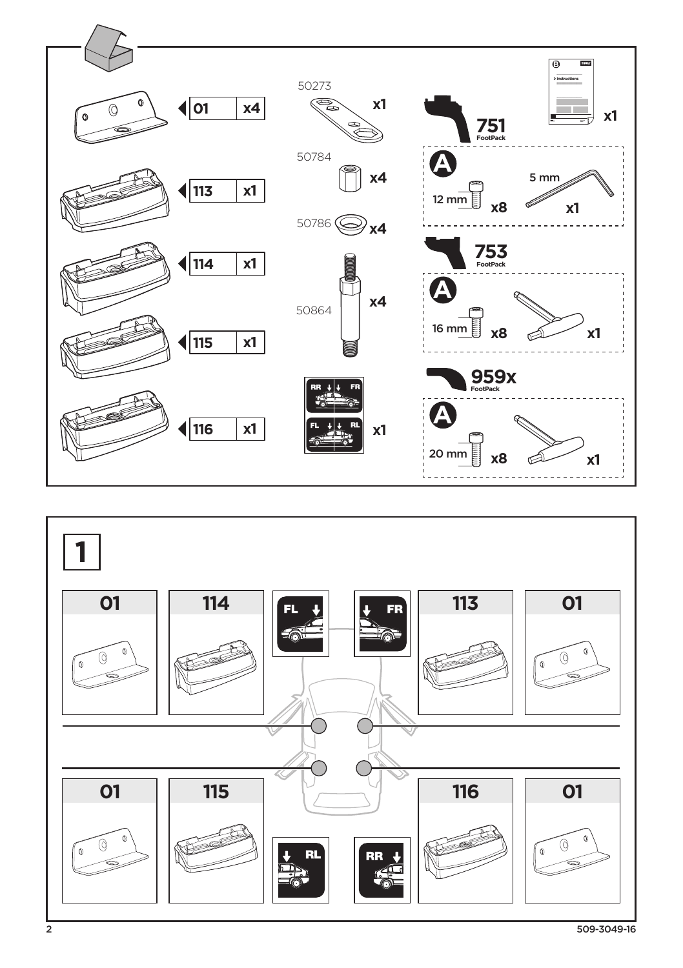

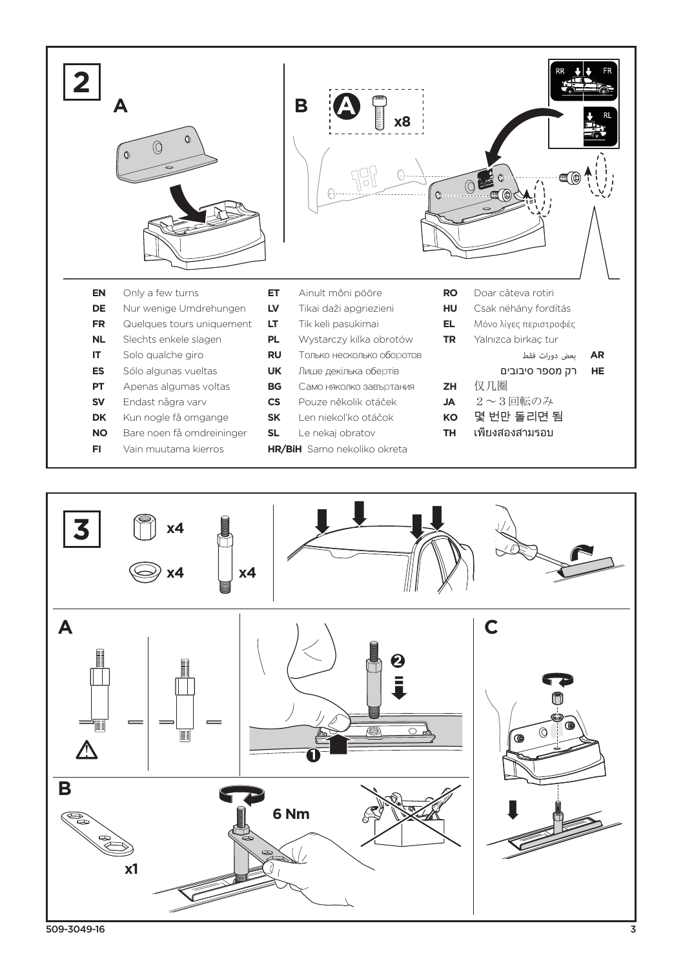